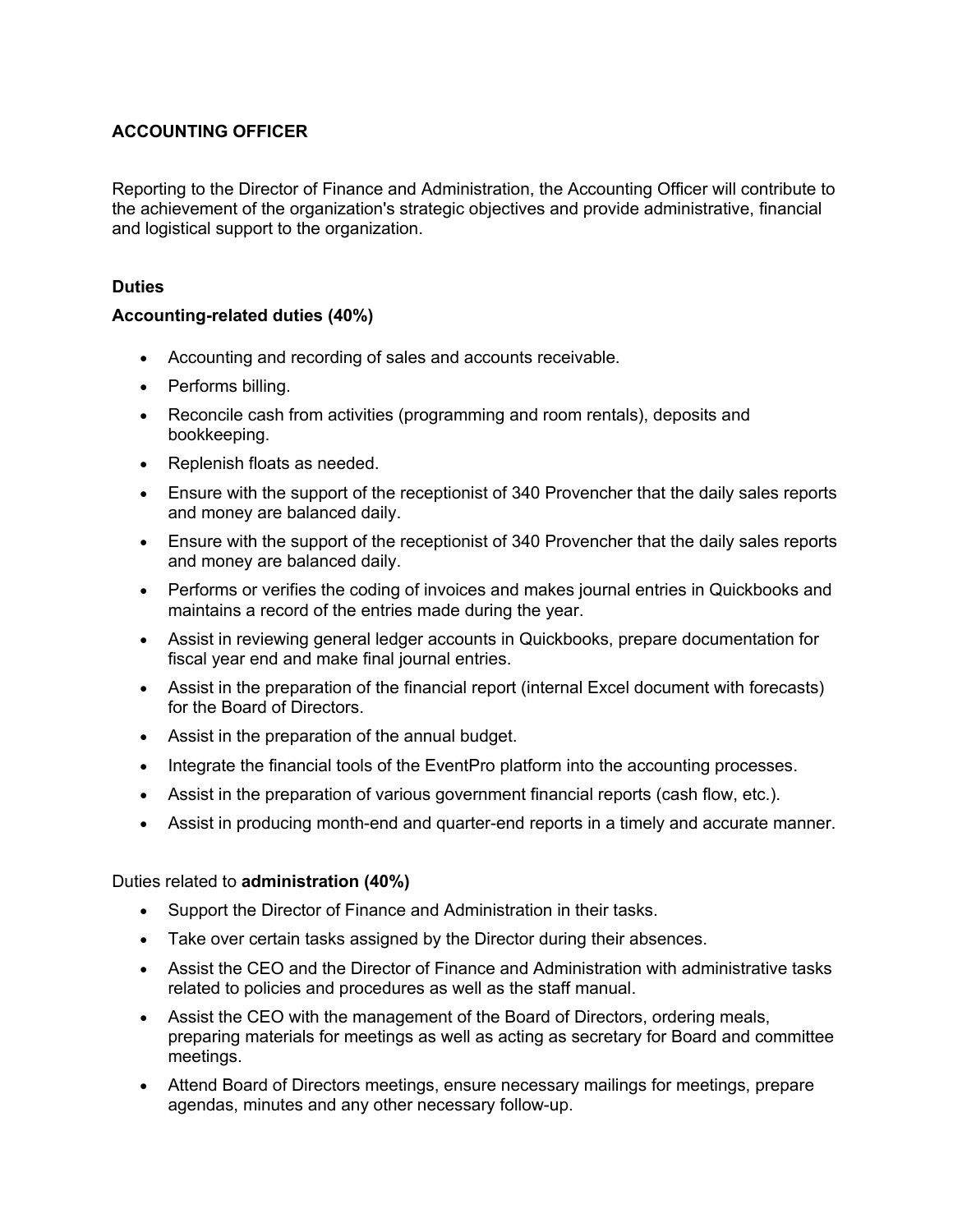# **ACCOUNTING OFFICER**

Reporting to the Director of Finance and Administration, the Accounting Officer will contribute to the achievement of the organization's strategic objectives and provide administrative, financial and logistical support to the organization.

# **Duties**

# **Accounting-related duties (40%)**

- Accounting and recording of sales and accounts receivable.
- Performs billing.
- Reconcile cash from activities (programming and room rentals), deposits and bookkeeping.
- Replenish floats as needed.
- Ensure with the support of the receptionist of 340 Provencher that the daily sales reports and money are balanced daily.
- Ensure with the support of the receptionist of 340 Provencher that the daily sales reports and money are balanced daily.
- Performs or verifies the coding of invoices and makes journal entries in Quickbooks and maintains a record of the entries made during the year.
- Assist in reviewing general ledger accounts in Quickbooks, prepare documentation for fiscal year end and make final journal entries.
- Assist in the preparation of the financial report (internal Excel document with forecasts) for the Board of Directors.
- Assist in the preparation of the annual budget.
- Integrate the financial tools of the EventPro platform into the accounting processes.
- Assist in the preparation of various government financial reports (cash flow, etc.).
- Assist in producing month-end and quarter-end reports in a timely and accurate manner.

# Duties related to **administration (40%)**

- Support the Director of Finance and Administration in their tasks.
- Take over certain tasks assigned by the Director during their absences.
- Assist the CEO and the Director of Finance and Administration with administrative tasks related to policies and procedures as well as the staff manual.
- Assist the CEO with the management of the Board of Directors, ordering meals, preparing materials for meetings as well as acting as secretary for Board and committee meetings.
- Attend Board of Directors meetings, ensure necessary mailings for meetings, prepare agendas, minutes and any other necessary follow-up.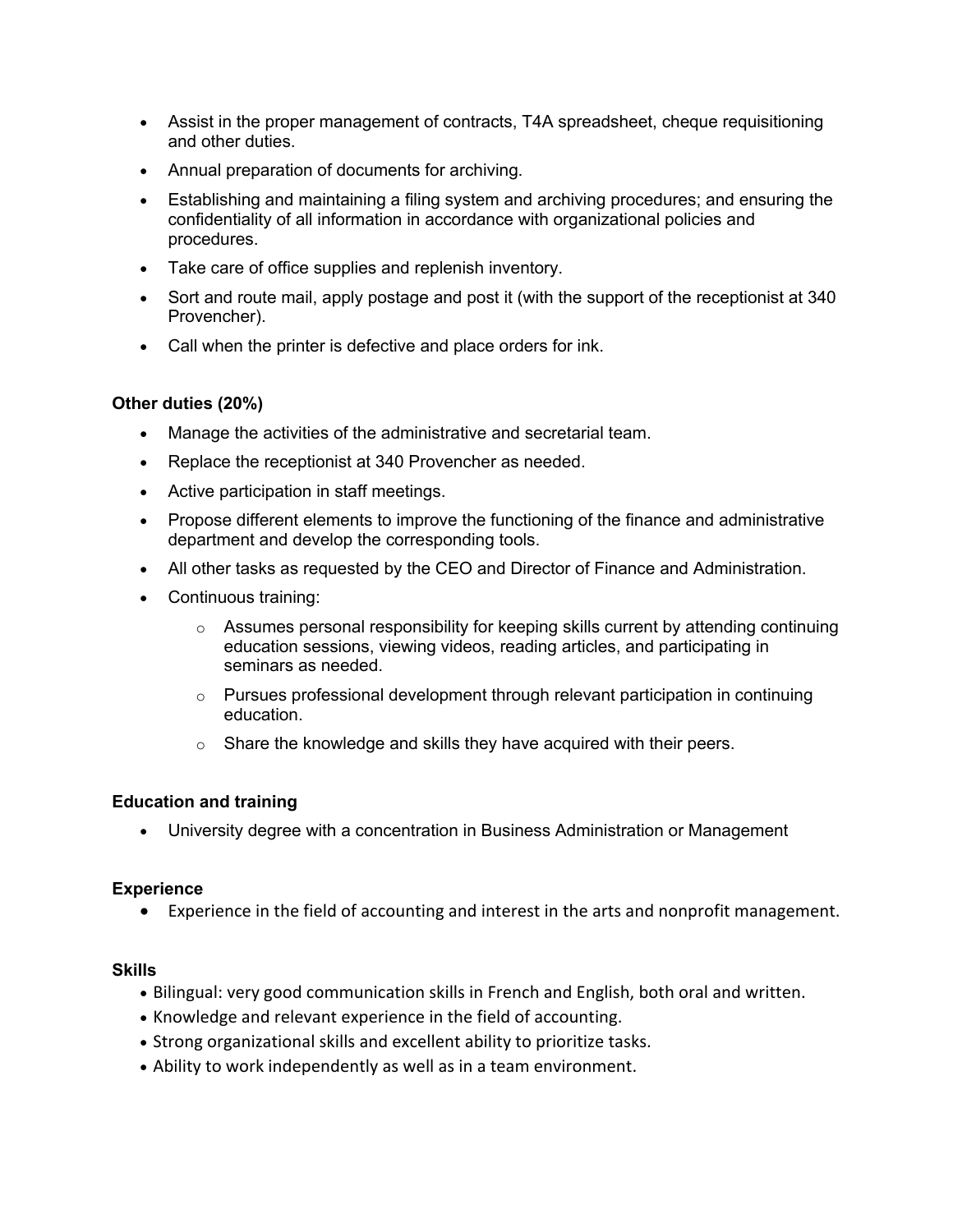- Assist in the proper management of contracts, T4A spreadsheet, cheque requisitioning and other duties.
- Annual preparation of documents for archiving.
- Establishing and maintaining a filing system and archiving procedures; and ensuring the confidentiality of all information in accordance with organizational policies and procedures.
- Take care of office supplies and replenish inventory.
- Sort and route mail, apply postage and post it (with the support of the receptionist at 340 Provencher).
- Call when the printer is defective and place orders for ink.

## **Other duties (20%)**

- Manage the activities of the administrative and secretarial team.
- Replace the receptionist at 340 Provencher as needed.
- Active participation in staff meetings.
- Propose different elements to improve the functioning of the finance and administrative department and develop the corresponding tools.
- All other tasks as requested by the CEO and Director of Finance and Administration.
- Continuous training:
	- $\circ$  Assumes personal responsibility for keeping skills current by attending continuing education sessions, viewing videos, reading articles, and participating in seminars as needed.
	- $\circ$  Pursues professional development through relevant participation in continuing education.
	- $\circ$  Share the knowledge and skills they have acquired with their peers.

## **Education and training**

• University degree with a concentration in Business Administration or Management

## **Experience**

• Experience in the field of accounting and interest in the arts and nonprofit management.

## **Skills**

- Bilingual: very good communication skills in French and English, both oral and written.
- Knowledge and relevant experience in the field of accounting.
- Strong organizational skills and excellent ability to prioritize tasks.
- Ability to work independently as well as in a team environment.